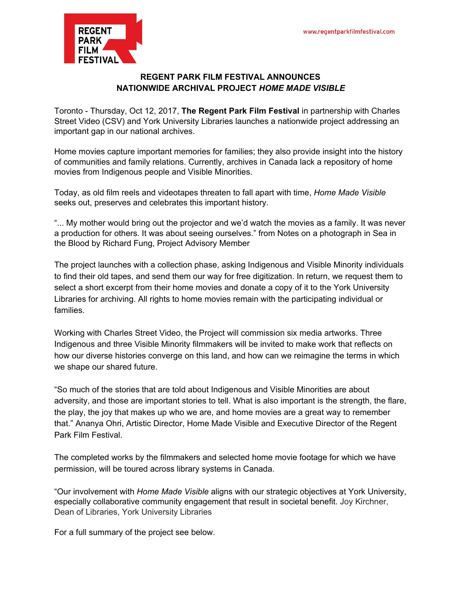

## **REGENT PARK FILM FESTIVAL ANNOUNCES NATIONWIDE ARCHIVAL PROJECT** *HOME MADE VISIBLE*

Toronto - Thursday, Oct 12, 2017, **The Regent Park Film Festival** in partnership with Charles Street Video (CSV) and York University Libraries launches a nationwide project addressing an important gap in our national archives.

Home movies capture important memories for families; they also provide insight into the history of communities and family relations. Currently, archives in Canada lack a repository of home movies from Indigenous people and Visible Minorities.

Today, as old film reels and videotapes threaten to fall apart with time, *Home Made Visible* seeks out, preserves and celebrates this important history.

"... My mother would bring out the projector and we'd watch the movies as a family. It was never a production for others. It was about seeing ourselves." from Notes on a [photograph](http://mikehoolboom.com/?p=61) in Sea in the [Blood](http://mikehoolboom.com/?p=61) by Richard Fung, Project Advisory Member

The project launches with a collection phase, asking Indigenous and Visible Minority individuals to find their old tapes, and send them our way for free digitization. In return, we request them to select a short excerpt from their home movies and donate a copy of it to the York University Libraries for archiving. All rights to home movies remain with the participating individual or families.

Working with Charles Street Video, the Project will commission six media artworks. Three Indigenous and three Visible Minority filmmakers will be invited to make work that reflects on how our diverse histories converge on this land, and how can we reimagine the terms in which we shape our shared future.

"So much of the stories that are told about Indigenous and Visible Minorities are about adversity, and those are important stories to tell. What is also important is the strength, the flare, the play, the joy that makes up who we are, and home movies are a great way to remember that." Ananya Ohri, Artistic Director, Home Made Visible and Executive Director of the Regent Park Film Festival.

The completed works by the filmmakers and selected home movie footage for which we have permission, will be toured across library systems in Canada.

"Our involvement with *Home Made Visible* aligns with our strategic objectives at York University, especially collaborative community engagement that result in societal benefit. Joy Kirchner, Dean of Libraries, York University Libraries

For a full summary of the project see below.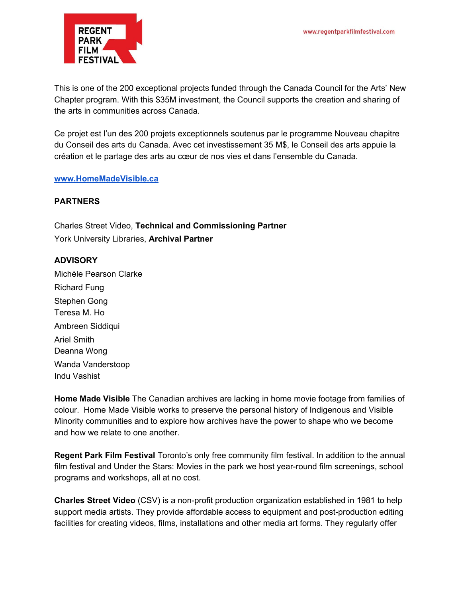

This is one of the 200 exceptional projects funded through the Canada Council for the Arts' New Chapter program. With this \$35M investment, the Council supports the creation and sharing of the arts in communities across Canada.

Ce projet est l'un des 200 projets exceptionnels soutenus par le programme Nouveau chapitre du Conseil des arts du Canada. Avec cet investissement 35 M\$, le Conseil des arts appuie la création et le partage des arts au cœur de nos vies et dans l'ensemble du Canada.

### **[www.HomeMadeVisible.ca](http://www.homemadevisible.ca/)**

### **PARTNERS**

Charles Street Video, **Technical and Commissioning Partner** York University Libraries, **Archival Partner**

#### **ADVISORY**

Michèle Pearson Clarke Richard Fung Stephen Gong Teresa M. Ho Ambreen Siddiqui Ariel Smith Deanna Wong Wanda Vanderstoop Indu Vashist

**Home Made Visible** The Canadian archives are lacking in home movie footage from families of colour. Home Made Visible works to preserve the personal history of Indigenous and Visible Minority communities and to explore how archives have the power to shape who we become and how we relate to one another.

**Regent Park Film Festival** Toronto's only free community film festival. In addition to the annual film festival and Under the Stars: Movies in the park we host year-round film screenings, school programs and workshops, all at no cost.

**Charles Street Video** (CSV) is a non-profit production organization established in 1981 to help support media artists. They provide affordable access to equipment and post-production editing facilities for creating videos, films, installations and other media art forms. They regularly offer